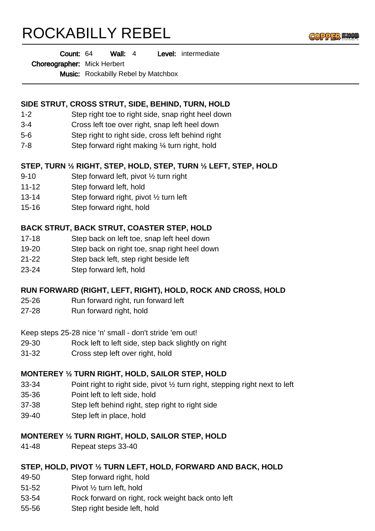# ROCKABILLY REBEL



Wall: 4 Level: intermediate Count: 64

#### Choreographer: Mick Herbert

Music: Rockabilly Rebel by Matchbox

## **SIDE STRUT, CROSS STRUT, SIDE, BEHIND, TURN, HOLD**

- 1-2 Step right toe to right side, snap right heel down
- 3-4 Cross left toe over right, snap left heel down
- 5-6 Step right to right side, cross left behind right
- 7-8 Step forward right making ¼ turn right, hold

## **STEP, TURN ½ RIGHT, STEP, HOLD, STEP, TURN ½ LEFT, STEP, HOLD**

- 9-10 Step forward left, pivot ½ turn right
- 11-12 Step forward left, hold
- 13-14 Step forward right, pivot ½ turn left
- 15-16 Step forward right, hold

## **BACK STRUT, BACK STRUT, COASTER STEP, HOLD**

- 17-18 Step back on left toe, snap left heel down
- 19-20 Step back on right toe, snap right heel down
- 21-22 Step back left, step right beside left
- 23-24 Step forward left, hold

## **RUN FORWARD (RIGHT, LEFT, RIGHT), HOLD, ROCK AND CROSS, HOLD**

- 25-26 Run forward right, run forward left
- 27-28 Run forward right, hold

Keep steps 25-28 nice 'n' small - don't stride 'em out!

- 29-30 Rock left to left side, step back slightly on right
- 31-32 Cross step left over right, hold

### **MONTEREY ½ TURN RIGHT, HOLD, SAILOR STEP, HOLD**

- 33-34 Point right to right side, pivot ½ turn right, stepping right next to left
- 35-36 Point left to left side, hold
- 37-38 Step left behind right, step right to right side
- 39-40 Step left in place, hold

### **MONTEREY ½ TURN RIGHT, HOLD, SAILOR STEP, HOLD**

41-48 Repeat steps 33-40

### **STEP, HOLD, PIVOT ½ TURN LEFT, HOLD, FORWARD AND BACK, HOLD**

- 49-50 Step forward right, hold
- 51-52 Pivot ½ turn left, hold
- 53-54 Rock forward on right, rock weight back onto left
- 55-56 Step right beside left, hold